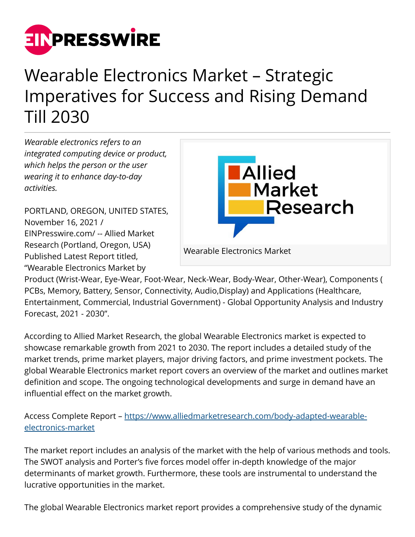

## Wearable Electronics Market – Strategic Imperatives for Success and Rising Demand Till 2030

*Wearable electronics refers to an integrated computing device or product, which helps the person or the user wearing it to enhance day-to-day activities.* 

PORTLAND, OREGON, UNITED STATES, November 16, 2021 / [EINPresswire.com](http://www.einpresswire.com)/ -- Allied Market Research (Portland, Oregon, USA) Published Latest Report titled, "Wearable Electronics Market by



Product (Wrist-Wear, Eye-Wear, Foot-Wear, Neck-Wear, Body-Wear, Other-Wear), Components ( PCBs, Memory, Battery, Sensor, Connectivity, Audio,Display) and Applications (Healthcare, Entertainment, Commercial, Industrial Government) - Global Opportunity Analysis and Industry Forecast, 2021 - 2030".

According to Allied Market Research, the global Wearable Electronics market is expected to showcase remarkable growth from 2021 to 2030. The report includes a detailed study of the market trends, prime market players, major driving factors, and prime investment pockets. The global Wearable Electronics market report covers an overview of the market and outlines market definition and scope. The ongoing technological developments and surge in demand have an influential effect on the market growth.

Access Complete Report – [https://www.alliedmarketresearch.com/body-adapted-wearable](https://www.alliedmarketresearch.com/body-adapted-wearable-electronics-market)[electronics-market](https://www.alliedmarketresearch.com/body-adapted-wearable-electronics-market)

The market report includes an analysis of the market with the help of various methods and tools. The SWOT analysis and Porter's five forces model offer in-depth knowledge of the major determinants of market growth. Furthermore, these tools are instrumental to understand the lucrative opportunities in the market.

The global Wearable Electronics market report provides a comprehensive study of the dynamic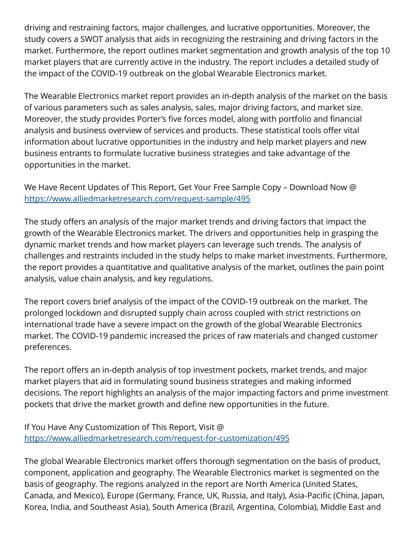driving and restraining factors, major challenges, and lucrative opportunities. Moreover, the study covers a SWOT analysis that aids in recognizing the restraining and driving factors in the market. Furthermore, the report outlines market segmentation and growth analysis of the top 10 market players that are currently active in the industry. The report includes a detailed study of the impact of the COVID-19 outbreak on the global Wearable Electronics market.

The Wearable Electronics market report provides an in-depth analysis of the market on the basis of various parameters such as sales analysis, sales, major driving factors, and market size. Moreover, the study provides Porter's five forces model, along with portfolio and financial analysis and business overview of services and products. These statistical tools offer vital information about lucrative opportunities in the industry and help market players and new business entrants to formulate lucrative business strategies and take advantage of the opportunities in the market.

We Have Recent Updates of This Report, Get Your Free Sample Copy – Download Now @ <https://www.alliedmarketresearch.com/request-sample/495>

The study offers an analysis of the major market trends and driving factors that impact the growth of the Wearable Electronics market. The drivers and opportunities help in grasping the dynamic market trends and how market players can leverage such trends. The analysis of challenges and restraints included in the study helps to make market investments. Furthermore, the report provides a quantitative and qualitative analysis of the market, outlines the pain point analysis, value chain analysis, and key regulations.

The report covers brief analysis of the impact of the COVID-19 outbreak on the market. The prolonged lockdown and disrupted supply chain across coupled with strict restrictions on international trade have a severe impact on the growth of the global Wearable Electronics market. The COVID-19 pandemic increased the prices of raw materials and changed customer preferences.

The report offers an in-depth analysis of top investment pockets, market trends, and major market players that aid in formulating sound business strategies and making informed decisions. The report highlights an analysis of the major impacting factors and prime investment pockets that drive the market growth and define new opportunities in the future.

If You Have Any Customization of This Report, Visit @ <https://www.alliedmarketresearch.com/request-for-customization/495>

The global Wearable Electronics market offers thorough segmentation on the basis of product, component, application and geography. The Wearable Electronics market is segmented on the basis of geography. The regions analyzed in the report are North America (United States, Canada, and Mexico), Europe (Germany, France, UK, Russia, and Italy), Asia-Pacific (China, Japan, Korea, India, and Southeast Asia), South America (Brazil, Argentina, Colombia), Middle East and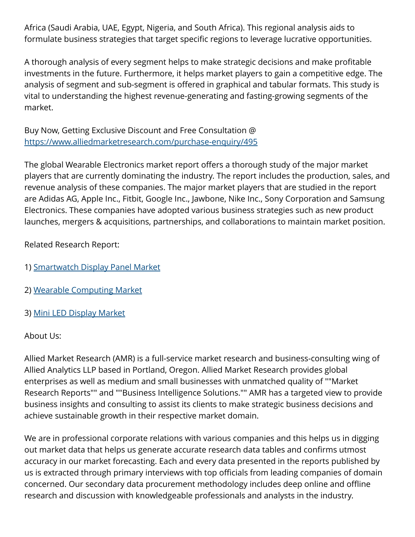Africa (Saudi Arabia, UAE, Egypt, Nigeria, and South Africa). This regional analysis aids to formulate business strategies that target specific regions to leverage lucrative opportunities.

A thorough analysis of every segment helps to make strategic decisions and make profitable investments in the future. Furthermore, it helps market players to gain a competitive edge. The analysis of segment and sub-segment is offered in graphical and tabular formats. This study is vital to understanding the highest revenue-generating and fasting-growing segments of the market.

Buy Now, Getting Exclusive Discount and Free Consultation @ <https://www.alliedmarketresearch.com/purchase-enquiry/495>

The global Wearable Electronics market report offers a thorough study of the major market players that are currently dominating the industry. The report includes the production, sales, and revenue analysis of these companies. The major market players that are studied in the report are Adidas AG, Apple Inc., Fitbit, Google Inc., Jawbone, Nike Inc., Sony Corporation and Samsung Electronics. These companies have adopted various business strategies such as new product launches, mergers & acquisitions, partnerships, and collaborations to maintain market position.

Related Research Report:

- 1) [Smartwatch Display Panel Market](https://www.alliedmarketresearch.com/smartwatch-display-panel-market-A14209)
- 2) [Wearable Computing Market](https://www.alliedmarketresearch.com/wearable-computing-market-A13693)
- 3) [Mini LED Display Market](https://www.alliedmarketresearch.com/mini-led-display-market-A10560)

About Us:

Allied Market Research (AMR) is a full-service market research and business-consulting wing of Allied Analytics LLP based in Portland, Oregon. Allied Market Research provides global enterprises as well as medium and small businesses with unmatched quality of ""Market Research Reports"" and ""Business Intelligence Solutions."" AMR has a targeted view to provide business insights and consulting to assist its clients to make strategic business decisions and achieve sustainable growth in their respective market domain.

We are in professional corporate relations with various companies and this helps us in digging out market data that helps us generate accurate research data tables and confirms utmost accuracy in our market forecasting. Each and every data presented in the reports published by us is extracted through primary interviews with top officials from leading companies of domain concerned. Our secondary data procurement methodology includes deep online and offline research and discussion with knowledgeable professionals and analysts in the industry.